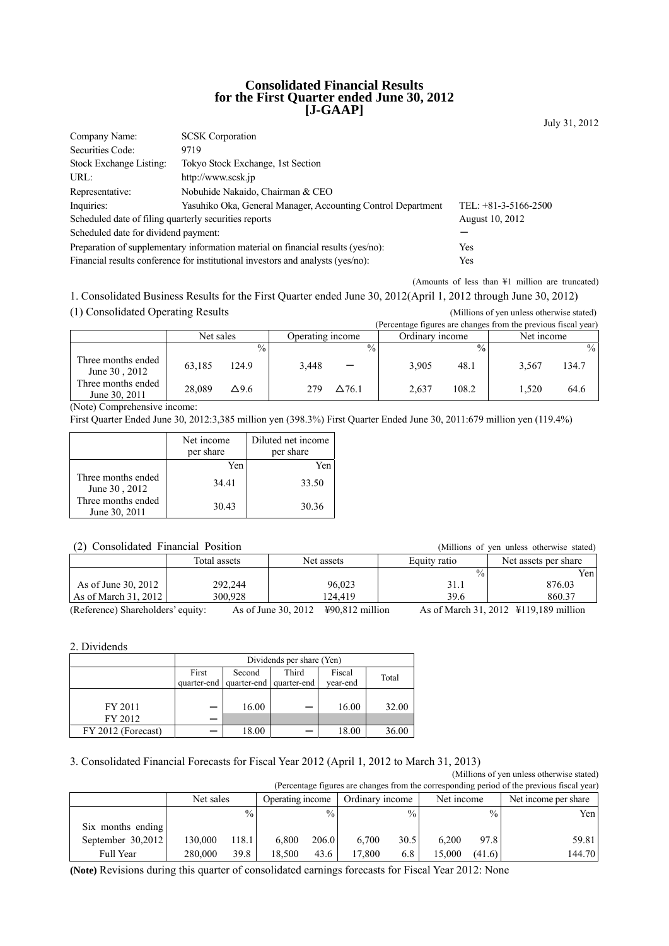### **Consolidated Financial Results for the First Quarter ended June 30, 2012 [J-GAAP]**

| Company Name:                                         | <b>SCSK</b> Corporation                                                          |                        |
|-------------------------------------------------------|----------------------------------------------------------------------------------|------------------------|
| Securities Code:                                      | 9719                                                                             |                        |
| Stock Exchange Listing:                               | Tokyo Stock Exchange, 1st Section                                                |                        |
| URL:                                                  | http://www.scsk.jp                                                               |                        |
| Representative:                                       | Nobuhide Nakaido, Chairman & CEO                                                 |                        |
| Inquiries:                                            | Yasuhiko Oka, General Manager, Accounting Control Department                     | TEL: $+81-3-5166-2500$ |
| Scheduled date of filing quarterly securities reports |                                                                                  | <b>August 10, 2012</b> |
| Scheduled date for dividend payment:                  |                                                                                  |                        |
|                                                       | Preparation of supplementary information material on financial results (yes/no): | Yes                    |
|                                                       | Financial results conference for institutional investors and analysts (yes/no):  | Yes                    |

(Amounts of less than ¥1 million are truncated)

July 31, 2012

1. Consolidated Business Results for the First Quarter ended June 30, 2012(April 1, 2012 through June 30, 2012) (1) Consolidated Operating Results (Millions of yen unless otherwise stated)

|                                     |           |               |                  |               |                 |               | (Percentage figures are changes from the previous fiscal year) |       |
|-------------------------------------|-----------|---------------|------------------|---------------|-----------------|---------------|----------------------------------------------------------------|-------|
|                                     | Net sales |               | Operating income |               | Ordinary income |               | Net income                                                     |       |
|                                     |           | $\frac{0}{0}$ |                  | $\frac{0}{0}$ |                 | $\frac{0}{0}$ |                                                                | $\%$  |
| Three months ended<br>June 30, 2012 | 63,185    | 124.9         | 3,448            |               | 3,905           | 48.1          | 3.567                                                          | 134.7 |
| Three months ended<br>June 30, 2011 | 28.089    | $\Delta$ 9.6  | 279              | $\Delta$ 76.1 | 2.637           | 108.2         | 1.520                                                          | 64.6  |

(Note) Comprehensive income:

First Quarter Ended June 30, 2012:3,385 million yen (398.3%) First Quarter Ended June 30, 2011:679 million yen (119.4%)

|                                     | Net income<br>per share | Diluted net income<br>per share |
|-------------------------------------|-------------------------|---------------------------------|
|                                     | Yen                     | Yen                             |
| Three months ended<br>June 30, 2012 | 34.41                   | 33.50                           |
| Three months ended<br>June 30, 2011 | 30.43                   | 30.36                           |

### (2) Consolidated Financial Position (Millions of yen unless otherwise stated)

| $(2)$ Consondated Financial Fosition                |              |                                                    | (Millions of yen unless otherwise stated) |                                             |
|-----------------------------------------------------|--------------|----------------------------------------------------|-------------------------------------------|---------------------------------------------|
|                                                     | Total assets | Net assets                                         | Equity ratio                              | Net assets per share                        |
|                                                     |              |                                                    | $\frac{0}{0}$                             | Yen                                         |
| As of June 30, 2012                                 | 292.244      | 96.023                                             | 31.1                                      | 876.03                                      |
| As of March $31, 2012$                              | 300.928      | 124.419                                            | 39.6                                      | 860.37                                      |
| $(D_n f_{\text{quantum}})$ . Chambril dam's antibor |              | $V(0)$ 012 million<br>$\lambda$ a of Luna 20, 2012 |                                           | $A_0$ of Morels 21, 2012, V110, 190 million |

(Reference) Shareholders' equity: As of June 30, 2012 ¥90,812 million As of March 31, 2012 ¥119,189 million

2. Dividends

|                    | Dividends per share (Yen) |                           |             |          |       |  |  |
|--------------------|---------------------------|---------------------------|-------------|----------|-------|--|--|
|                    | First                     | Fiscal<br>Third<br>Second |             |          |       |  |  |
|                    |                           | quarter-end quarter-end   | quarter-end | year-end | Total |  |  |
|                    |                           |                           |             |          |       |  |  |
| FY 2011            |                           | 16.00                     |             | 16.00    | 32.00 |  |  |
| FY 2012            |                           |                           |             |          |       |  |  |
| FY 2012 (Forecast) |                           | 18.00                     |             | 18.00    | 36.00 |  |  |

#### 3. Consolidated Financial Forecasts for Fiscal Year 2012 (April 1, 2012 to March 31, 2013)

|                                                                                            |           |               |                  |               |                 |               |            |               | (Millions of yen unless otherwise stated) |
|--------------------------------------------------------------------------------------------|-----------|---------------|------------------|---------------|-----------------|---------------|------------|---------------|-------------------------------------------|
| (Percentage figures are changes from the corresponding period of the previous fiscal year) |           |               |                  |               |                 |               |            |               |                                           |
|                                                                                            | Net sales |               | Operating income |               | Ordinary income |               | Net income |               | Net income per share                      |
|                                                                                            |           | $\frac{0}{0}$ |                  | $\frac{0}{0}$ |                 | $\frac{0}{0}$ |            | $\frac{0}{0}$ | Yen                                       |
| Six months ending                                                                          |           |               |                  |               |                 |               |            |               |                                           |
| September $30,2012$                                                                        | 130.000   | 118.1         | 6.800            | 206.0         | 6.700           | 30.5          | 6.200      | 97.8          | 59.81                                     |
| Full Year                                                                                  | 280,000   | 39.8          | 18.500           | 43.6          | 17.800          | 6.8           | 15.000     | (41.6)        | 144.70                                    |

**(Note)** Revisions during this quarter of consolidated earnings forecasts for Fiscal Year 2012: None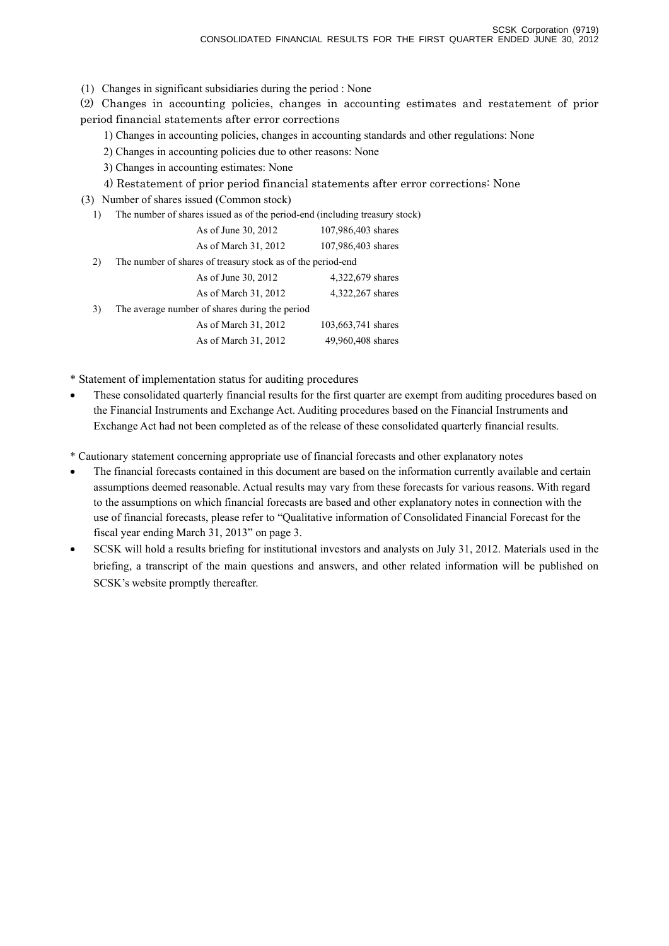(1) Changes in significant subsidiaries during the period : None

(2) Changes in accounting policies, changes in accounting estimates and restatement of prior period financial statements after error corrections

1) Changes in accounting policies, changes in accounting standards and other regulations: None

2) Changes in accounting policies due to other reasons: None

3) Changes in accounting estimates: None

4) Restatement of prior period financial statements after error corrections: None

(3) Number of shares issued (Common stock)

1) The number of shares issued as of the period-end (including treasury stock)

|    | As of June 30, 2012                                         | 107,986,403 shares |
|----|-------------------------------------------------------------|--------------------|
|    | As of March 31, 2012                                        | 107,986,403 shares |
| 2) | The number of shares of treasury stock as of the period-end |                    |
|    | As of June 30, 2012                                         | 4,322,679 shares   |
|    | As of March 31, 2012                                        | 4,322,267 shares   |
| 3) | The average number of shares during the period              |                    |
|    | As of March 31, 2012                                        | 103,663,741 shares |
|    | As of March 31, 2012                                        | 49,960,408 shares  |

\* Statement of implementation status for auditing procedures

• These consolidated quarterly financial results for the first quarter are exempt from auditing procedures based on the Financial Instruments and Exchange Act. Auditing procedures based on the Financial Instruments and Exchange Act had not been completed as of the release of these consolidated quarterly financial results.

\* Cautionary statement concerning appropriate use of financial forecasts and other explanatory notes

- The financial forecasts contained in this document are based on the information currently available and certain assumptions deemed reasonable. Actual results may vary from these forecasts for various reasons. With regard to the assumptions on which financial forecasts are based and other explanatory notes in connection with the use of financial forecasts, please refer to "Qualitative information of Consolidated Financial Forecast for the fiscal year ending March 31, 2013" on page 3.
- SCSK will hold a results briefing for institutional investors and analysts on July 31, 2012. Materials used in the briefing, a transcript of the main questions and answers, and other related information will be published on SCSK's website promptly thereafter.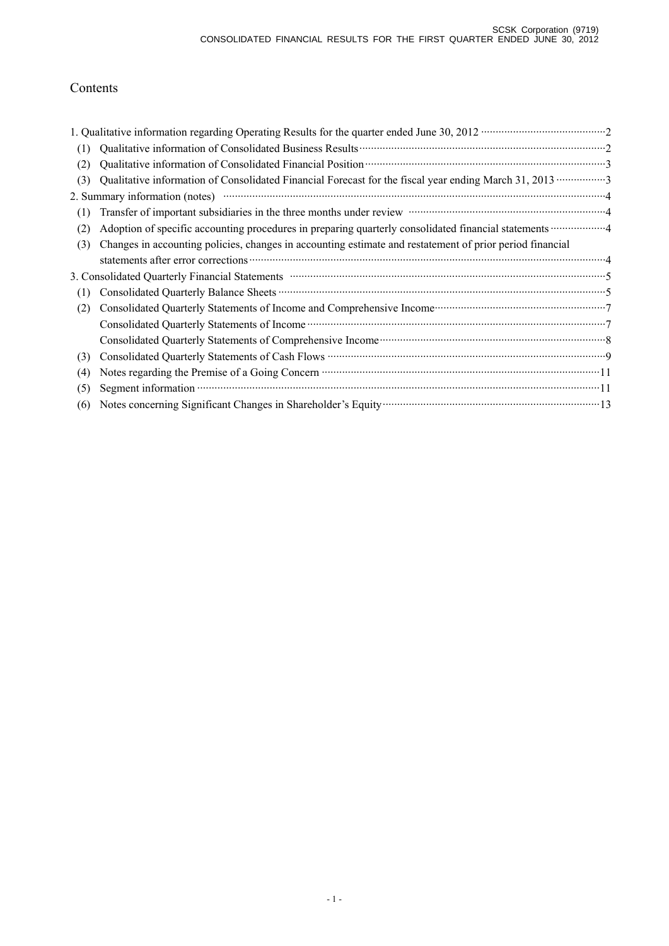# Contents

| (1) |                                                                                                                                                                                                    |
|-----|----------------------------------------------------------------------------------------------------------------------------------------------------------------------------------------------------|
| (2) |                                                                                                                                                                                                    |
| (3) |                                                                                                                                                                                                    |
|     |                                                                                                                                                                                                    |
| (1) | Transfer of important subsidiaries in the three months under review manufactured in the three months under review                                                                                  |
| (2) |                                                                                                                                                                                                    |
| (3) | Changes in accounting policies, changes in accounting estimate and restatement of prior period financial                                                                                           |
|     |                                                                                                                                                                                                    |
|     | 3. Consolidated Quarterly Financial Statements manufactured and continuum control of the Statements of Statements                                                                                  |
| (1) |                                                                                                                                                                                                    |
| (2) | Consolidated Quarterly Statements of Income and Comprehensive Income manufacturer and Tonsolidated Quarterly Statements of Income and Comprehensive Income manufacturer and Tonsolidated Quarterly |
|     |                                                                                                                                                                                                    |
|     |                                                                                                                                                                                                    |
| (3) |                                                                                                                                                                                                    |
| (4) |                                                                                                                                                                                                    |
| (5) |                                                                                                                                                                                                    |
| (6) | Notes concerning Significant Changes in Shareholder's Equity manufactured and the state of 13                                                                                                      |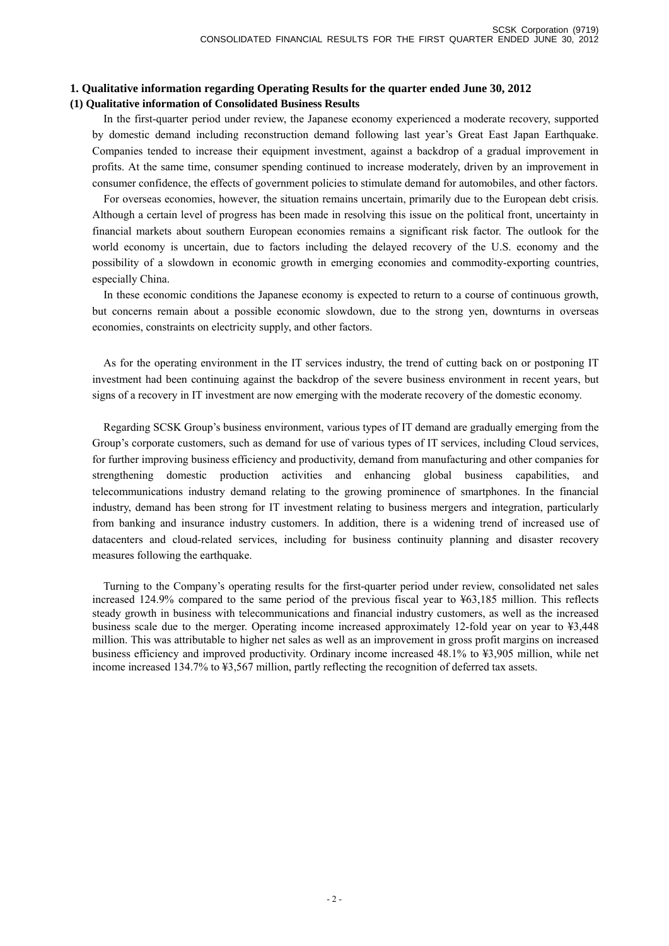## **1. Qualitative information regarding Operating Results for the quarter ended June 30, 2012 (1) Qualitative information of Consolidated Business Results**

In the first-quarter period under review, the Japanese economy experienced a moderate recovery, supported by domestic demand including reconstruction demand following last year's Great East Japan Earthquake. Companies tended to increase their equipment investment, against a backdrop of a gradual improvement in profits. At the same time, consumer spending continued to increase moderately, driven by an improvement in consumer confidence, the effects of government policies to stimulate demand for automobiles, and other factors.

 For overseas economies, however, the situation remains uncertain, primarily due to the European debt crisis. Although a certain level of progress has been made in resolving this issue on the political front, uncertainty in financial markets about southern European economies remains a significant risk factor. The outlook for the world economy is uncertain, due to factors including the delayed recovery of the U.S. economy and the possibility of a slowdown in economic growth in emerging economies and commodity-exporting countries, especially China.

 In these economic conditions the Japanese economy is expected to return to a course of continuous growth, but concerns remain about a possible economic slowdown, due to the strong yen, downturns in overseas economies, constraints on electricity supply, and other factors.

As for the operating environment in the IT services industry, the trend of cutting back on or postponing IT investment had been continuing against the backdrop of the severe business environment in recent years, but signs of a recovery in IT investment are now emerging with the moderate recovery of the domestic economy.

Regarding SCSK Group's business environment, various types of IT demand are gradually emerging from the Group's corporate customers, such as demand for use of various types of IT services, including Cloud services, for further improving business efficiency and productivity, demand from manufacturing and other companies for strengthening domestic production activities and enhancing global business capabilities, and telecommunications industry demand relating to the growing prominence of smartphones. In the financial industry, demand has been strong for IT investment relating to business mergers and integration, particularly from banking and insurance industry customers. In addition, there is a widening trend of increased use of datacenters and cloud-related services, including for business continuity planning and disaster recovery measures following the earthquake.

Turning to the Company's operating results for the first-quarter period under review, consolidated net sales increased 124.9% compared to the same period of the previous fiscal year to ¥63,185 million. This reflects steady growth in business with telecommunications and financial industry customers, as well as the increased business scale due to the merger. Operating income increased approximately 12-fold year on year to ¥3,448 million. This was attributable to higher net sales as well as an improvement in gross profit margins on increased business efficiency and improved productivity. Ordinary income increased 48.1% to ¥3,905 million, while net income increased 134.7% to ¥3,567 million, partly reflecting the recognition of deferred tax assets.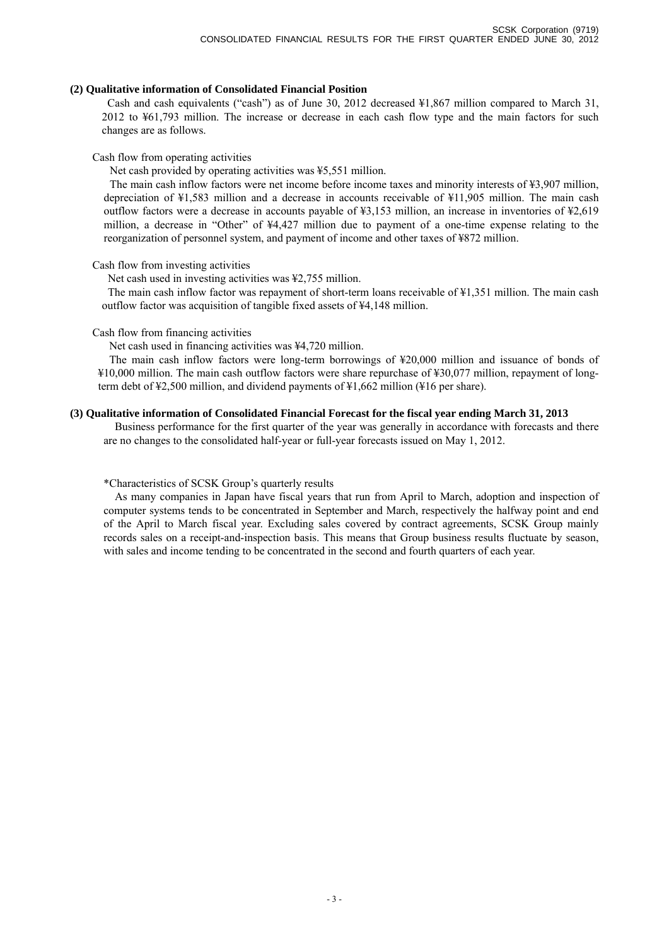#### **(2) Qualitative information of Consolidated Financial Position**

Cash and cash equivalents ("cash") as of June 30, 2012 decreased ¥1,867 million compared to March 31, 2012 to ¥61,793 million. The increase or decrease in each cash flow type and the main factors for such changes are as follows.

#### Cash flow from operating activities

Net cash provided by operating activities was ¥5,551 million.

The main cash inflow factors were net income before income taxes and minority interests of ¥3,907 million, depreciation of ¥1,583 million and a decrease in accounts receivable of ¥11,905 million. The main cash outflow factors were a decrease in accounts payable of ¥3,153 million, an increase in inventories of ¥2,619 million, a decrease in "Other" of ¥4,427 million due to payment of a one-time expense relating to the reorganization of personnel system, and payment of income and other taxes of ¥872 million.

### Cash flow from investing activities

Net cash used in investing activities was ¥2,755 million.

The main cash inflow factor was repayment of short-term loans receivable of ¥1,351 million. The main cash outflow factor was acquisition of tangible fixed assets of ¥4,148 million.

### Cash flow from financing activities

Net cash used in financing activities was ¥4,720 million.

The main cash inflow factors were long-term borrowings of ¥20,000 million and issuance of bonds of ¥10,000 million. The main cash outflow factors were share repurchase of ¥30,077 million, repayment of longterm debt of ¥2,500 million, and dividend payments of ¥1,662 million (¥16 per share).

### **(3) Qualitative information of Consolidated Financial Forecast for the fiscal year ending March 31, 2013**

Business performance for the first quarter of the year was generally in accordance with forecasts and there are no changes to the consolidated half-year or full-year forecasts issued on May 1, 2012.

#### \*Characteristics of SCSK Group's quarterly results

As many companies in Japan have fiscal years that run from April to March, adoption and inspection of computer systems tends to be concentrated in September and March, respectively the halfway point and end of the April to March fiscal year. Excluding sales covered by contract agreements, SCSK Group mainly records sales on a receipt-and-inspection basis. This means that Group business results fluctuate by season, with sales and income tending to be concentrated in the second and fourth quarters of each year.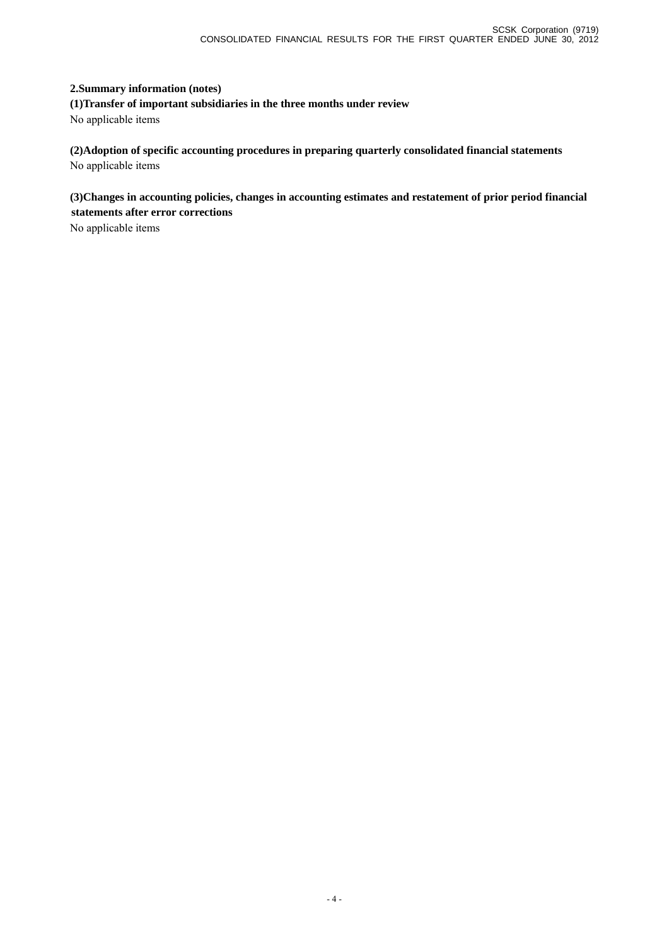## **2.Summary information (notes)**

**(1)Transfer of important subsidiaries in the three months under review**  No applicable items

**(2)Adoption of specific accounting procedures in preparing quarterly consolidated financial statements**  No applicable items

**(3)Changes in accounting policies, changes in accounting estimates and restatement of prior period financial statements after error corrections** 

No applicable items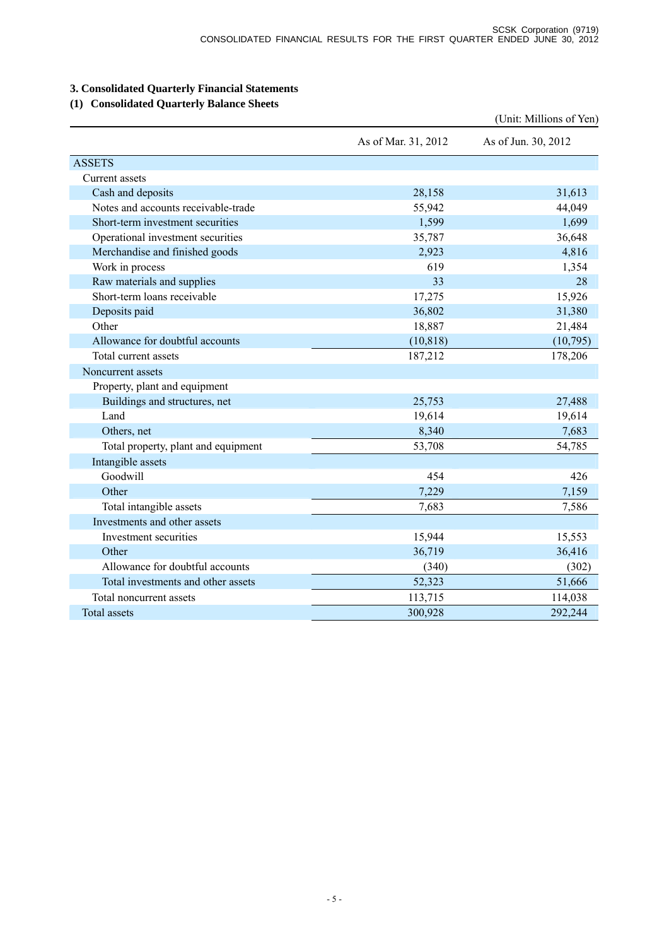# **3. Consolidated Quarterly Financial Statements**

# **(1) Consolidated Quarterly Balance Sheets**

|                                     |                     | (Unit: Millions of Yen) |
|-------------------------------------|---------------------|-------------------------|
|                                     | As of Mar. 31, 2012 | As of Jun. 30, 2012     |
| <b>ASSETS</b>                       |                     |                         |
| Current assets                      |                     |                         |
| Cash and deposits                   | 28,158              | 31,613                  |
| Notes and accounts receivable-trade | 55,942              | 44,049                  |
| Short-term investment securities    | 1,599               | 1,699                   |
| Operational investment securities   | 35,787              | 36,648                  |
| Merchandise and finished goods      | 2,923               | 4,816                   |
| Work in process                     | 619                 | 1,354                   |
| Raw materials and supplies          | 33                  | 28                      |
| Short-term loans receivable         | 17,275              | 15,926                  |
| Deposits paid                       | 36,802              | 31,380                  |
| Other                               | 18,887              | 21,484                  |
| Allowance for doubtful accounts     | (10, 818)           | (10,795)                |
| Total current assets                | 187,212             | 178,206                 |
| Noncurrent assets                   |                     |                         |
| Property, plant and equipment       |                     |                         |
| Buildings and structures, net       | 25,753              | 27,488                  |
| Land                                | 19,614              | 19,614                  |
| Others, net                         | 8,340               | 7,683                   |
| Total property, plant and equipment | 53,708              | 54,785                  |
| Intangible assets                   |                     |                         |
| Goodwill                            | 454                 | 426                     |
| Other                               | 7,229               | 7,159                   |
| Total intangible assets             | 7,683               | 7,586                   |
| Investments and other assets        |                     |                         |
| Investment securities               | 15,944              | 15,553                  |
| Other                               | 36,719              | 36,416                  |
| Allowance for doubtful accounts     | (340)               | (302)                   |
| Total investments and other assets  | 52,323              | 51,666                  |
| Total noncurrent assets             | 113,715             | 114,038                 |
| <b>Total assets</b>                 | 300,928             | 292,244                 |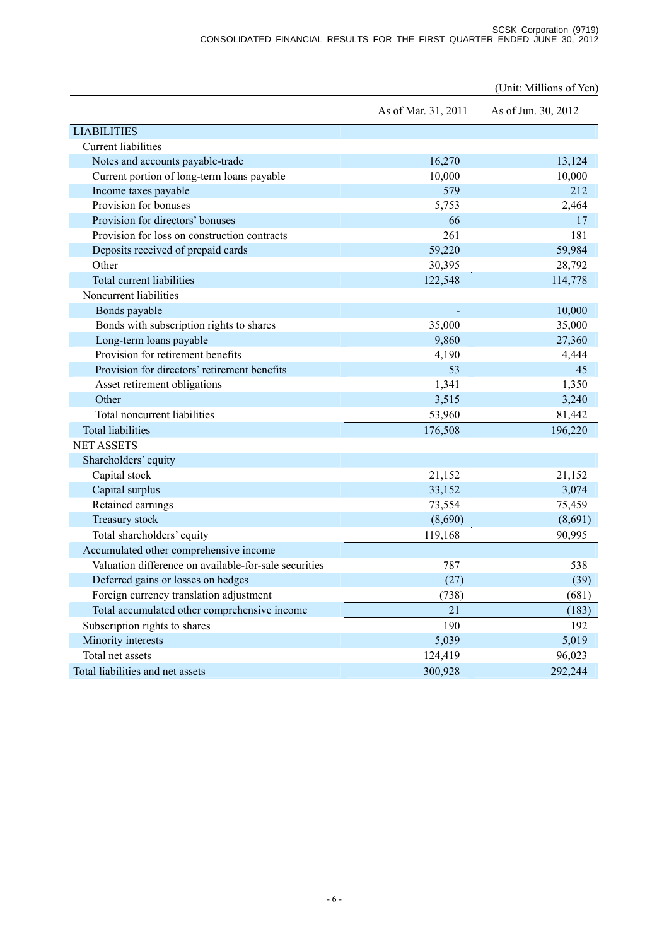|                                                       |                     | (Unit: Millions of Yen) |
|-------------------------------------------------------|---------------------|-------------------------|
|                                                       | As of Mar. 31, 2011 | As of Jun. 30, 2012     |
| <b>LIABILITIES</b>                                    |                     |                         |
| <b>Current liabilities</b>                            |                     |                         |
| Notes and accounts payable-trade                      | 16,270              | 13,124                  |
| Current portion of long-term loans payable            | 10,000              | 10,000                  |
| Income taxes payable                                  | 579                 | 212                     |
| Provision for bonuses                                 | 5,753               | 2,464                   |
| Provision for directors' bonuses                      | 66                  | 17                      |
| Provision for loss on construction contracts          | 261                 | 181                     |
| Deposits received of prepaid cards                    | 59,220              | 59,984                  |
| Other                                                 | 30,395              | 28,792                  |
| Total current liabilities                             | 122,548             | 114,778                 |
| Noncurrent liabilities                                |                     |                         |
| Bonds payable                                         |                     | 10,000                  |
| Bonds with subscription rights to shares              | 35,000              | 35,000                  |
| Long-term loans payable                               | 9,860               | 27,360                  |
| Provision for retirement benefits                     | 4,190               | 4,444                   |
| Provision for directors' retirement benefits          | 53                  | 45                      |
| Asset retirement obligations                          | 1,341               | 1,350                   |
| Other                                                 | 3,515               | 3,240                   |
| Total noncurrent liabilities                          | 53,960              | 81,442                  |
| <b>Total liabilities</b>                              | 176,508             | 196,220                 |
| <b>NET ASSETS</b>                                     |                     |                         |
| Shareholders' equity                                  |                     |                         |
| Capital stock                                         | 21,152              | 21,152                  |
| Capital surplus                                       | 33,152              | 3,074                   |
| Retained earnings                                     | 73,554              | 75,459                  |
| Treasury stock                                        | (8,690)             | (8,691)                 |
| Total shareholders' equity                            | 119,168             | 90,995                  |
| Accumulated other comprehensive income                |                     |                         |
| Valuation difference on available-for-sale securities | 787                 | 538                     |
| Deferred gains or losses on hedges                    | (27)                | (39)                    |
| Foreign currency translation adjustment               | (738)               | (681)                   |
| Total accumulated other comprehensive income          | 21                  | (183)                   |
| Subscription rights to shares                         | 190                 | 192                     |
| Minority interests                                    | 5,039               | 5,019                   |
| Total net assets                                      | 124,419             | 96,023                  |
| Total liabilities and net assets                      | 300,928             | 292,244                 |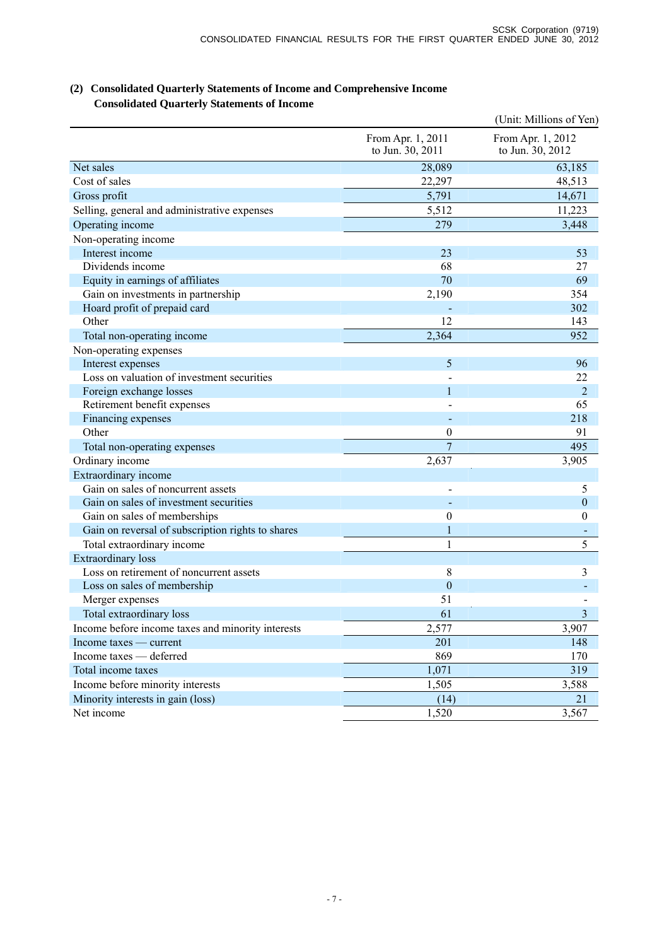| (2) Consolidated Quarterly Statements of Income and Comprehensive Income |
|--------------------------------------------------------------------------|
| <b>Consolidated Quarterly Statements of Income</b>                       |

|                                                   |                                       | (Unit: Millions of Yen)               |
|---------------------------------------------------|---------------------------------------|---------------------------------------|
|                                                   | From Apr. 1, 2011<br>to Jun. 30, 2011 | From Apr. 1, 2012<br>to Jun. 30, 2012 |
| Net sales                                         | 28,089                                | 63,185                                |
| Cost of sales                                     | 22,297                                | 48,513                                |
| Gross profit                                      | 5,791                                 | 14,671                                |
| Selling, general and administrative expenses      | 5,512                                 | 11,223                                |
| Operating income                                  | 279                                   | 3,448                                 |
| Non-operating income                              |                                       |                                       |
| Interest income                                   | 23                                    | 53                                    |
| Dividends income                                  | 68                                    | 27                                    |
| Equity in earnings of affiliates                  | 70                                    | 69                                    |
| Gain on investments in partnership                | 2,190                                 | 354                                   |
| Hoard profit of prepaid card                      |                                       | 302                                   |
| Other                                             | 12                                    | 143                                   |
| Total non-operating income                        | 2,364                                 | 952                                   |
| Non-operating expenses                            |                                       |                                       |
| Interest expenses                                 | 5                                     | 96                                    |
| Loss on valuation of investment securities        |                                       | 22                                    |
| Foreign exchange losses                           | 1                                     | $\overline{2}$                        |
| Retirement benefit expenses                       |                                       | 65                                    |
| Financing expenses                                |                                       | 218                                   |
| Other                                             | 0                                     | 91                                    |
| Total non-operating expenses                      | $\overline{7}$                        | 495                                   |
| Ordinary income                                   | 2,637                                 | 3,905                                 |
| Extraordinary income                              |                                       |                                       |
| Gain on sales of noncurrent assets                |                                       | 5                                     |
| Gain on sales of investment securities            |                                       | $\boldsymbol{0}$                      |
| Gain on sales of memberships                      | $\boldsymbol{0}$                      | $\boldsymbol{0}$                      |
| Gain on reversal of subscription rights to shares | 1                                     |                                       |
| Total extraordinary income                        | $\mathbf{1}$                          | 5                                     |
| Extraordinary loss                                |                                       |                                       |
| Loss on retirement of noncurrent assets           | 8                                     | 3                                     |
| Loss on sales of membership                       | $\mathbf{0}$                          |                                       |
| Merger expenses                                   | 51                                    |                                       |
| Total extraordinary loss                          | 61                                    | $\overline{3}$                        |
| Income before income taxes and minority interests | 2,577                                 | 3,907                                 |
| Income taxes — current                            | 201                                   | 148                                   |
| Income taxes - deferred                           | 869                                   | 170                                   |
| Total income taxes                                | 1,071                                 | 319                                   |
| Income before minority interests                  | 1,505                                 | 3,588                                 |
| Minority interests in gain (loss)                 | (14)                                  | 21                                    |
| Net income                                        | 1,520                                 | 3,567                                 |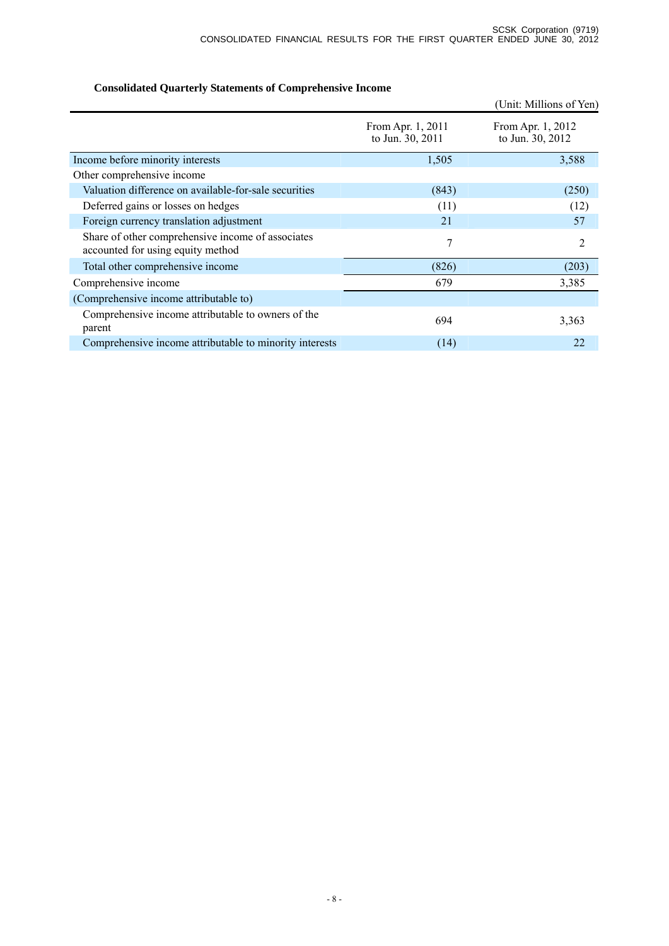# **Consolidated Quarterly Statements of Comprehensive Income**

|                                                                                        |                                       | (Unit: Millions of Yen)               |
|----------------------------------------------------------------------------------------|---------------------------------------|---------------------------------------|
|                                                                                        | From Apr. 1, 2011<br>to Jun. 30, 2011 | From Apr. 1, 2012<br>to Jun. 30, 2012 |
| Income before minority interests                                                       | 1,505                                 | 3,588                                 |
| Other comprehensive income                                                             |                                       |                                       |
| Valuation difference on available-for-sale securities                                  | (843)                                 | (250)                                 |
| Deferred gains or losses on hedges                                                     | (11)                                  | (12)                                  |
| Foreign currency translation adjustment                                                | 21                                    | 57                                    |
| Share of other comprehensive income of associates<br>accounted for using equity method | 7                                     | 2                                     |
| Total other comprehensive income                                                       | (826)                                 | (203)                                 |
| Comprehensive income                                                                   | 679                                   | 3,385                                 |
| (Comprehensive income attributable to)                                                 |                                       |                                       |
| Comprehensive income attributable to owners of the<br>parent                           | 694                                   | 3,363                                 |
| Comprehensive income attributable to minority interests                                | (14)                                  | 22                                    |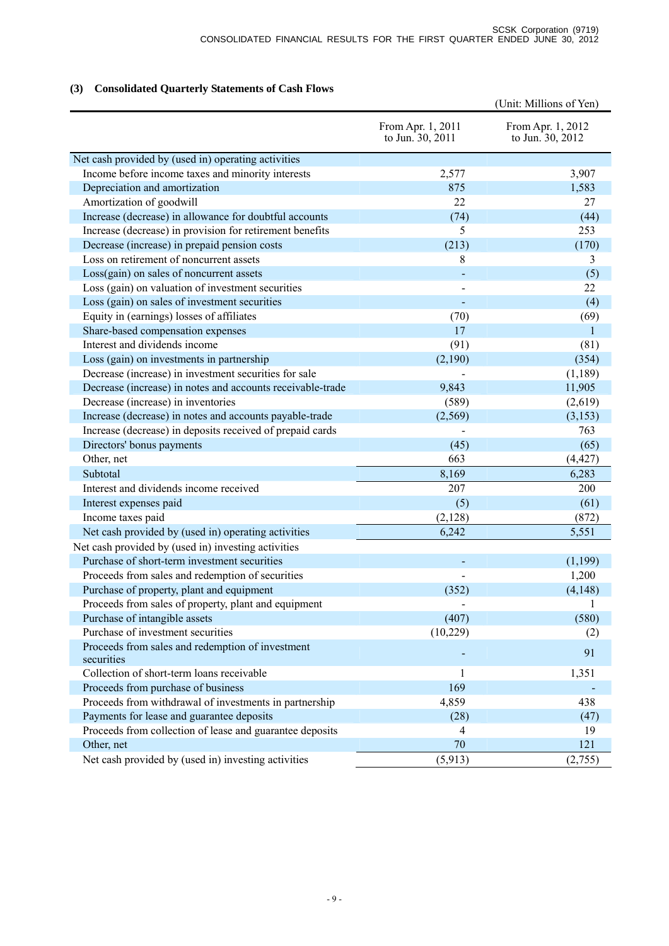# **(3) Consolidated Quarterly Statements of Cash Flows**

|                                                                |                                       | (Unit: Millions of Yen)               |
|----------------------------------------------------------------|---------------------------------------|---------------------------------------|
|                                                                | From Apr. 1, 2011<br>to Jun. 30, 2011 | From Apr. 1, 2012<br>to Jun. 30, 2012 |
| Net cash provided by (used in) operating activities            |                                       |                                       |
| Income before income taxes and minority interests              | 2,577                                 | 3,907                                 |
| Depreciation and amortization                                  | 875                                   | 1,583                                 |
| Amortization of goodwill                                       | 22                                    | 27                                    |
| Increase (decrease) in allowance for doubtful accounts         | (74)                                  | (44)                                  |
| Increase (decrease) in provision for retirement benefits       | 5                                     | 253                                   |
| Decrease (increase) in prepaid pension costs                   | (213)                                 | (170)                                 |
| Loss on retirement of noncurrent assets                        | 8                                     | 3                                     |
| Loss(gain) on sales of noncurrent assets                       |                                       | (5)                                   |
| Loss (gain) on valuation of investment securities              |                                       | 22                                    |
| Loss (gain) on sales of investment securities                  |                                       | (4)                                   |
| Equity in (earnings) losses of affiliates                      | (70)                                  | (69)                                  |
| Share-based compensation expenses                              | 17                                    | 1                                     |
| Interest and dividends income                                  | (91)                                  | (81)                                  |
| Loss (gain) on investments in partnership                      | (2,190)                               | (354)                                 |
| Decrease (increase) in investment securities for sale          |                                       | (1, 189)                              |
| Decrease (increase) in notes and accounts receivable-trade     | 9,843                                 | 11,905                                |
| Decrease (increase) in inventories                             | (589)                                 | (2,619)                               |
| Increase (decrease) in notes and accounts payable-trade        | (2,569)                               | (3, 153)                              |
| Increase (decrease) in deposits received of prepaid cards      |                                       | 763                                   |
| Directors' bonus payments                                      | (45)                                  | (65)                                  |
| Other, net                                                     | 663                                   | (4, 427)                              |
| Subtotal                                                       | 8,169                                 | 6,283                                 |
| Interest and dividends income received                         | 207                                   | 200                                   |
| Interest expenses paid                                         | (5)                                   | (61)                                  |
| Income taxes paid                                              | (2, 128)                              | (872)                                 |
| Net cash provided by (used in) operating activities            | 6,242                                 | 5,551                                 |
| Net cash provided by (used in) investing activities            |                                       |                                       |
| Purchase of short-term investment securities                   |                                       | (1,199)                               |
| Proceeds from sales and redemption of securities               |                                       | 1,200                                 |
| Purchase of property, plant and equipment                      | (352)                                 | (4,148)                               |
| Proceeds from sales of property, plant and equipment           |                                       | $\mathbf{1}$                          |
| Purchase of intangible assets                                  | (407)                                 | (580)                                 |
| Purchase of investment securities                              | (10, 229)                             | (2)                                   |
| Proceeds from sales and redemption of investment<br>securities |                                       | 91                                    |
| Collection of short-term loans receivable                      | 1                                     | 1,351                                 |
| Proceeds from purchase of business                             | 169                                   |                                       |
| Proceeds from withdrawal of investments in partnership         | 4,859                                 | 438                                   |
| Payments for lease and guarantee deposits                      | (28)                                  | (47)                                  |
| Proceeds from collection of lease and guarantee deposits       | 4                                     | 19                                    |
| Other, net                                                     | 70                                    | 121                                   |
| Net cash provided by (used in) investing activities            | (5, 913)                              | (2,755)                               |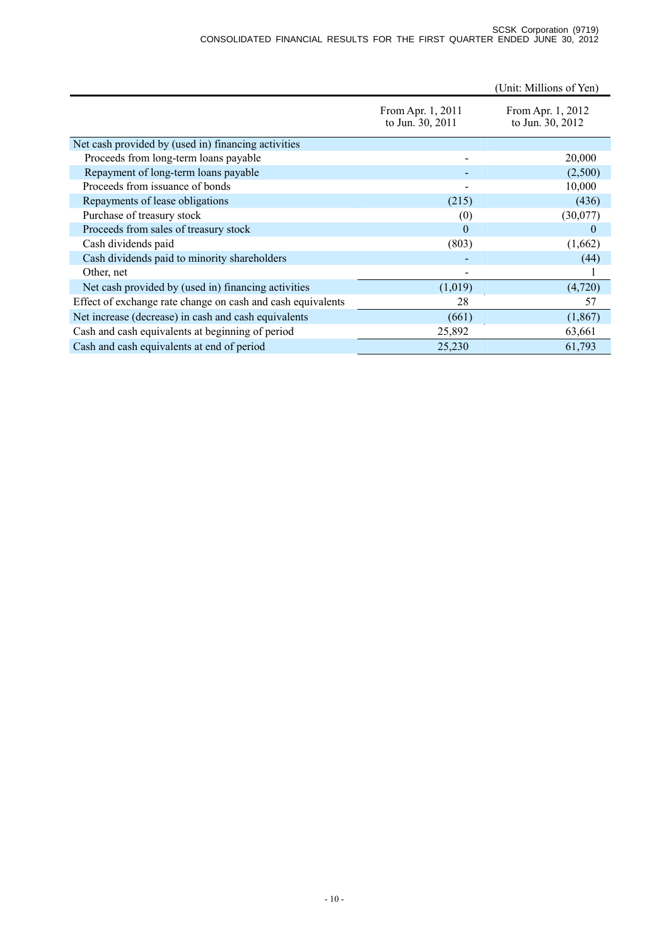|                                                             |                                       | (Unit: Millions of Yen)               |
|-------------------------------------------------------------|---------------------------------------|---------------------------------------|
|                                                             | From Apr. 1, 2011<br>to Jun. 30, 2011 | From Apr. 1, 2012<br>to Jun. 30, 2012 |
| Net cash provided by (used in) financing activities         |                                       |                                       |
| Proceeds from long-term loans payable                       |                                       | 20,000                                |
| Repayment of long-term loans payable                        |                                       | (2,500)                               |
| Proceeds from issuance of bonds                             |                                       | 10,000                                |
| Repayments of lease obligations                             | (215)                                 | (436)                                 |
| Purchase of treasury stock                                  | (0)                                   | (30,077)                              |
| Proceeds from sales of treasury stock                       | $\Omega$                              | $\theta$                              |
| Cash dividends paid                                         | (803)                                 | (1,662)                               |
| Cash dividends paid to minority shareholders                |                                       | (44)                                  |
| Other, net                                                  |                                       |                                       |
| Net cash provided by (used in) financing activities         | (1,019)                               | (4,720)                               |
| Effect of exchange rate change on cash and cash equivalents | 28                                    | 57                                    |
| Net increase (decrease) in cash and cash equivalents        | (661)                                 | (1, 867)                              |
| Cash and cash equivalents at beginning of period            | 25,892                                | 63,661                                |
| Cash and cash equivalents at end of period                  | 25,230                                | 61,793                                |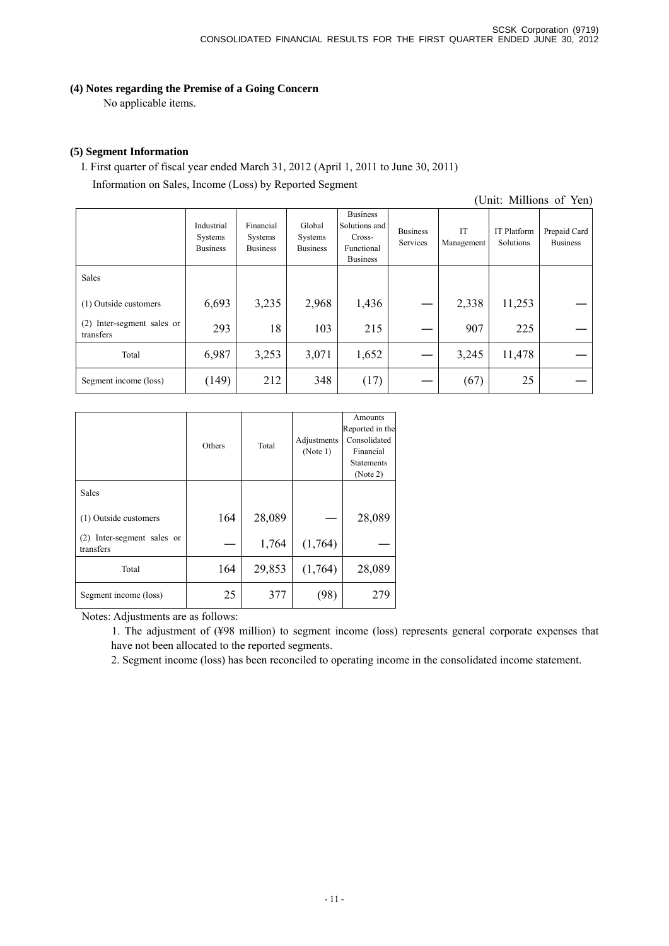## **(4) Notes regarding the Premise of a Going Concern**

No applicable items.

## **(5) Segment Information**

I. First quarter of fiscal year ended March 31, 2012 (April 1, 2011 to June 30, 2011) Information on Sales, Income (Loss) by Reported Segment

(Unit: Millions of Yen)

|                                         | Industrial<br>Systems<br><b>Business</b> | Financial<br>Systems<br><b>Business</b> | Global<br>Systems<br><b>Business</b> | <b>Business</b><br>Solutions and<br>Cross-<br>Functional<br><b>Business</b> | <b>Business</b><br>Services | IT<br>Management | <b>IT Platform</b><br>Solutions | Prepaid Card<br><b>Business</b> |
|-----------------------------------------|------------------------------------------|-----------------------------------------|--------------------------------------|-----------------------------------------------------------------------------|-----------------------------|------------------|---------------------------------|---------------------------------|
| Sales                                   |                                          |                                         |                                      |                                                                             |                             |                  |                                 |                                 |
| (1) Outside customers                   | 6,693                                    | 3,235                                   | 2,968                                | 1,436                                                                       |                             | 2,338            | 11,253                          |                                 |
| (2) Inter-segment sales or<br>transfers | 293                                      | 18                                      | 103                                  | 215                                                                         |                             | 907              | 225                             |                                 |
| Total                                   | 6,987                                    | 3,253                                   | 3,071                                | 1,652                                                                       |                             | 3,245            | 11,478                          |                                 |
| Segment income (loss)                   | (149)                                    | 212                                     | 348                                  | (17)                                                                        |                             | (67)             | 25                              |                                 |

|                                            | Others | Total  | Adjustments<br>(Note 1) | Amounts<br>Reported in the<br>Consolidated<br>Financial<br><b>Statements</b><br>(Note 2) |
|--------------------------------------------|--------|--------|-------------------------|------------------------------------------------------------------------------------------|
| Sales                                      |        |        |                         |                                                                                          |
| (1) Outside customers                      | 164    | 28,089 |                         | 28,089                                                                                   |
| Inter-segment sales or<br>(2)<br>transfers |        | 1,764  | (1,764)                 |                                                                                          |
| Total                                      | 164    | 29,853 | (1,764)                 | 28,089                                                                                   |
| Segment income (loss)                      | 25     | 377    | '98                     | 279                                                                                      |

Notes: Adjustments are as follows:

1. The adjustment of (¥98 million) to segment income (loss) represents general corporate expenses that have not been allocated to the reported segments.

2. Segment income (loss) has been reconciled to operating income in the consolidated income statement.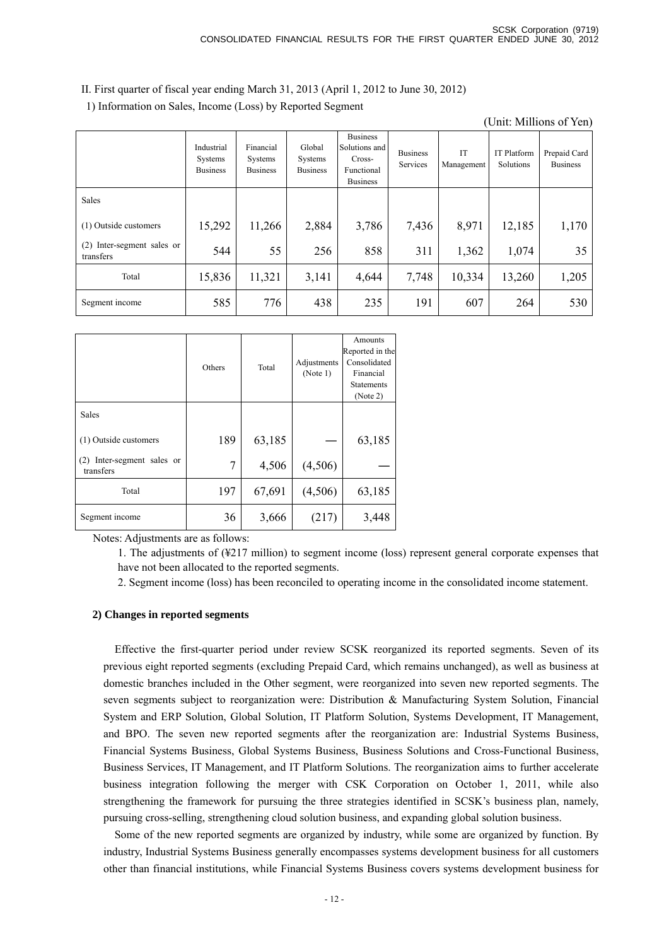II. First quarter of fiscal year ending March 31, 2013 (April 1, 2012 to June 30, 2012)

1) Information on Sales, Income (Loss) by Reported Segment

(Unit: Millions of Yen)

|                                            | Industrial<br>Systems<br><b>Business</b> | Financial<br>Systems<br><b>Business</b> | Global<br>Systems<br><b>Business</b> | <b>Business</b><br>Solutions and<br>Cross-<br>Functional<br><b>Business</b> | <b>Business</b><br>Services | <b>IT</b><br>Management | <b>IT Platform</b><br>Solutions | Prepaid Card<br><b>Business</b> |
|--------------------------------------------|------------------------------------------|-----------------------------------------|--------------------------------------|-----------------------------------------------------------------------------|-----------------------------|-------------------------|---------------------------------|---------------------------------|
| Sales                                      |                                          |                                         |                                      |                                                                             |                             |                         |                                 |                                 |
| (1) Outside customers                      | 15,292                                   | 11,266                                  | 2,884                                | 3,786                                                                       | 7,436                       | 8,971                   | 12,185                          | 1,170                           |
| Inter-segment sales or<br>(2)<br>transfers | 544                                      | 55                                      | 256                                  | 858                                                                         | 311                         | 1,362                   | 1,074                           | 35                              |
| Total                                      | 15,836                                   | 11,321                                  | 3,141                                | 4,644                                                                       | 7,748                       | 10,334                  | 13,260                          | 1,205                           |
| Segment income                             | 585                                      | 776                                     | 438                                  | 235                                                                         | 191                         | 607                     | 264                             | 530                             |

|                                         | Others | Total  | Adjustments<br>(Note 1) | Amounts<br>Reported in the<br>Consolidated<br>Financial<br><b>Statements</b><br>(Note 2) |
|-----------------------------------------|--------|--------|-------------------------|------------------------------------------------------------------------------------------|
| Sales                                   |        |        |                         |                                                                                          |
| (1) Outside customers                   | 189    | 63,185 |                         | 63,185                                                                                   |
| (2) Inter-segment sales or<br>transfers | 7      | 4,506  | (4,506)                 |                                                                                          |
| Total                                   | 197    | 67,691 | (4,506)                 | 63,185                                                                                   |
| Segment income                          | 36     | 3,666  | (217)                   | 3,448                                                                                    |

Notes: Adjustments are as follows:

1. The adjustments of (¥217 million) to segment income (loss) represent general corporate expenses that have not been allocated to the reported segments.

2. Segment income (loss) has been reconciled to operating income in the consolidated income statement.

#### **2) Changes in reported segments**

Effective the first-quarter period under review SCSK reorganized its reported segments. Seven of its previous eight reported segments (excluding Prepaid Card, which remains unchanged), as well as business at domestic branches included in the Other segment, were reorganized into seven new reported segments. The seven segments subject to reorganization were: Distribution & Manufacturing System Solution, Financial System and ERP Solution, Global Solution, IT Platform Solution, Systems Development, IT Management, and BPO. The seven new reported segments after the reorganization are: Industrial Systems Business, Financial Systems Business, Global Systems Business, Business Solutions and Cross-Functional Business, Business Services, IT Management, and IT Platform Solutions. The reorganization aims to further accelerate business integration following the merger with CSK Corporation on October 1, 2011, while also strengthening the framework for pursuing the three strategies identified in SCSK's business plan, namely, pursuing cross-selling, strengthening cloud solution business, and expanding global solution business.

Some of the new reported segments are organized by industry, while some are organized by function. By industry, Industrial Systems Business generally encompasses systems development business for all customers other than financial institutions, while Financial Systems Business covers systems development business for